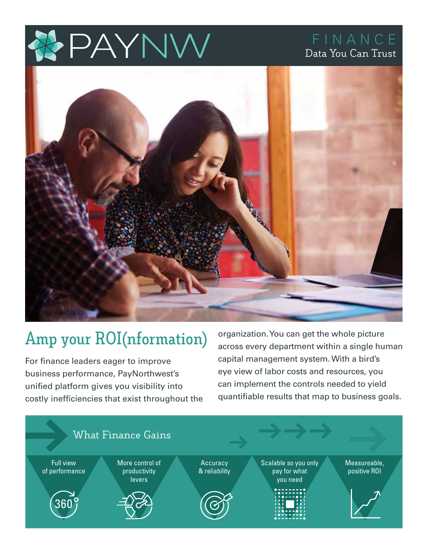

## FINANCE Data You Can Trust



# **Amp your ROI(nformation)**

For finance leaders eager to improve business performance, PayNorthwest's unified platform gives you visibility into costly inefficiencies that exist throughout the

organization. You can get the whole picture across every department within a single human capital management system. With a bird's eye view of labor costs and resources, you can implement the controls needed to yield quantifiable results that map to business goals.